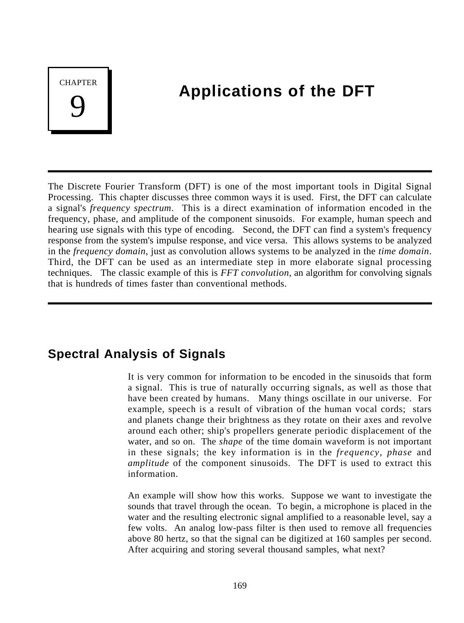**CHAPTER** 9

# **Applications of the DFT**

The Discrete Fourier Transform (DFT) is one of the most important tools in Digital Signal Processing. This chapter discusses three common ways it is used. First, the DFT can calculate a signal's *frequency spectrum*. This is a direct examination of information encoded in the frequency, phase, and amplitude of the component sinusoids. For example, human speech and hearing use signals with this type of encoding. Second, the DFT can find a system's frequency response from the system's impulse response, and vice versa. This allows systems to be analyzed in the *frequency domain*, just as convolution allows systems to be analyzed in the *time domain*. Third, the DFT can be used as an intermediate step in more elaborate signal processing techniques. The classic example of this is *FFT convolution*, an algorithm for convolving signals that is hundreds of times faster than conventional methods.

## **Spectral Analysis of Signals**

It is very common for information to be encoded in the sinusoids that form a signal. This is true of naturally occurring signals, as well as those that have been created by humans. Many things oscillate in our universe. For example, speech is a result of vibration of the human vocal cords; stars and planets change their brightness as they rotate on their axes and revolve around each other; ship's propellers generate periodic displacement of the water, and so on. The *shape* of the time domain waveform is not important in these signals; the key information is in the *frequency*, *phase* and *amplitude* of the component sinusoids. The DFT is used to extract this information.

An example will show how this works. Suppose we want to investigate the sounds that travel through the ocean. To begin, a microphone is placed in the water and the resulting electronic signal amplified to a reasonable level, say a few volts. An analog low-pass filter is then used to remove all frequencies above 80 hertz, so that the signal can be digitized at 160 samples per second. After acquiring and storing several thousand samples, what next?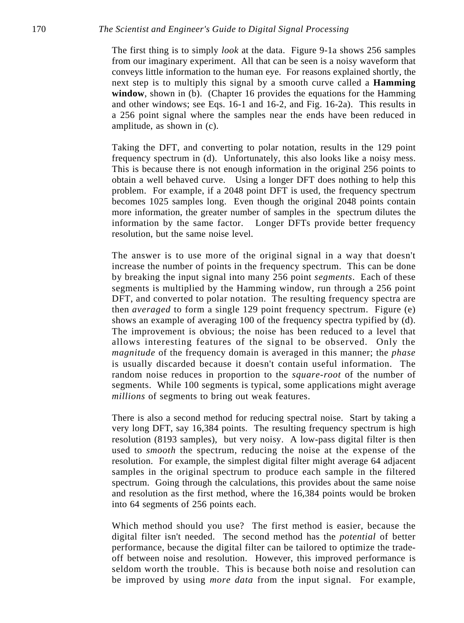The first thing is to simply *look* at the data. Figure 9-1a shows 256 samples from our imaginary experiment. All that can be seen is a noisy waveform that conveys little information to the human eye. For reasons explained shortly, the next step is to multiply this signal by a smooth curve called a **Hamming** window, shown in (b). (Chapter 16 provides the equations for the Hamming and other windows; see Eqs. 16-1 and 16-2, and Fig. 16-2a). This results in a 256 point signal where the samples near the ends have been reduced in amplitude, as shown in (c).

Taking the DFT, and converting to polar notation, results in the 129 point frequency spectrum in (d). Unfortunately, this also looks like a noisy mess. This is because there is not enough information in the original 256 points to obtain a well behaved curve. Using a longer DFT does nothing to help this problem. For example, if a 2048 point DFT is used, the frequency spectrum becomes 1025 samples long. Even though the original 2048 points contain more information, the greater number of samples in the spectrum dilutes the information by the same factor. Longer DFTs provide better frequency resolution, but the same noise level.

The answer is to use more of the original signal in a way that doesn't increase the number of points in the frequency spectrum. This can be done by breaking the input signal into many 256 point *segments*. Each of these segments is multiplied by the Hamming window, run through a 256 point DFT, and converted to polar notation. The resulting frequency spectra are then *averaged* to form a single 129 point frequency spectrum. Figure (e) shows an example of averaging 100 of the frequency spectra typified by (d). The improvement is obvious; the noise has been reduced to a level that allows interesting features of the signal to be observed. Only the *magnitude* of the frequency domain is averaged in this manner; the *phase* is usually discarded because it doesn't contain useful information. The random noise reduces in proportion to the *square-root* of the number of segments. While 100 segments is typical, some applications might average *millions* of segments to bring out weak features.

There is also a second method for reducing spectral noise. Start by taking a very long DFT, say 16,384 points. The resulting frequency spectrum is high resolution (8193 samples), but very noisy. A low-pass digital filter is then used to *smooth* the spectrum, reducing the noise at the expense of the resolution. For example, the simplest digital filter might average 64 adjacent samples in the original spectrum to produce each sample in the filtered spectrum. Going through the calculations, this provides about the same noise and resolution as the first method, where the 16,384 points would be broken into 64 segments of 256 points each.

Which method should you use? The first method is easier, because the digital filter isn't needed. The second method has the *potential* of better performance, because the digital filter can be tailored to optimize the tradeoff between noise and resolution. However, this improved performance is seldom worth the trouble. This is because both noise and resolution can be improved by using *more data* from the input signal. For example,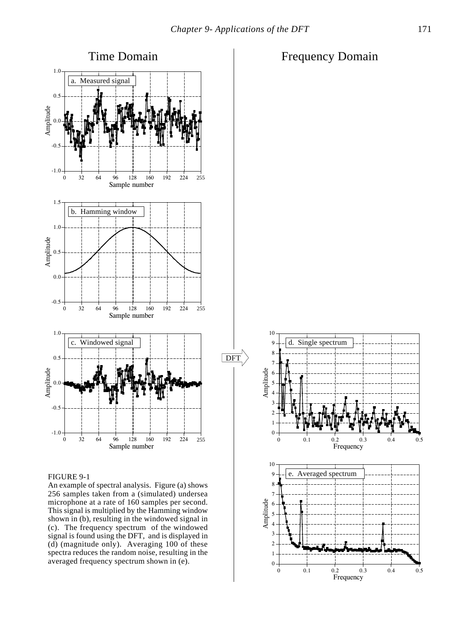

An example of spectral analysis. Figure (a) shows 256 samples taken from a (simulated) undersea microphone at a rate of 160 samples per second. This signal is multiplied by the Hamming window shown in (b), resulting in the windowed signal in (c). The frequency spectrum of the windowed signal is found using the DFT, and is displayed in (d) (magnitude only). Averaging 100 of these spectra reduces the random noise, resulting in the averaged frequency spectrum shown in (e).

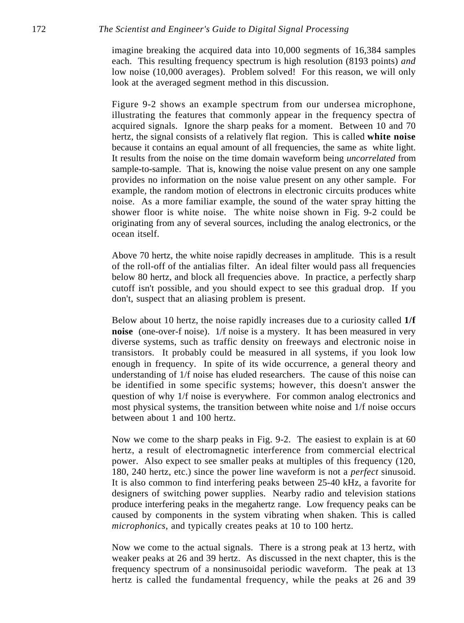imagine breaking the acquired data into 10,000 segments of 16,384 samples each. This resulting frequency spectrum is high resolution (8193 points) *and* low noise (10,000 averages). Problem solved! For this reason, we will only look at the averaged segment method in this discussion.

Figure 9-2 shows an example spectrum from our undersea microphone, illustrating the features that commonly appear in the frequency spectra of acquired signals. Ignore the sharp peaks for a moment. Between 10 and 70 hertz, the signal consists of a relatively flat region. This is called **white noise** because it contains an equal amount of all frequencies, the same as white light. It results from the noise on the time domain waveform being *uncorrelated* from sample-to-sample. That is, knowing the noise value present on any one sample provides no information on the noise value present on any other sample. For example, the random motion of electrons in electronic circuits produces white noise. As a more familiar example, the sound of the water spray hitting the shower floor is white noise. The white noise shown in Fig. 9-2 could be originating from any of several sources, including the analog electronics, or the ocean itself.

Above 70 hertz, the white noise rapidly decreases in amplitude. This is a result of the roll-off of the antialias filter. An ideal filter would pass all frequencies below 80 hertz, and block all frequencies above. In practice, a perfectly sharp cutoff isn't possible, and you should expect to see this gradual drop. If you don't, suspect that an aliasing problem is present.

Below about 10 hertz, the noise rapidly increases due to a curiosity called **1/f noise** (one-over-f noise). 1/f noise is a mystery. It has been measured in very diverse systems, such as traffic density on freeways and electronic noise in transistors. It probably could be measured in all systems, if you look low enough in frequency. In spite of its wide occurrence, a general theory and understanding of 1/f noise has eluded researchers. The cause of this noise can be identified in some specific systems; however, this doesn't answer the question of why 1/f noise is everywhere. For common analog electronics and most physical systems, the transition between white noise and 1/f noise occurs between about 1 and 100 hertz.

Now we come to the sharp peaks in Fig. 9-2. The easiest to explain is at 60 hertz, a result of electromagnetic interference from commercial electrical power. Also expect to see smaller peaks at multiples of this frequency (120, 180, 240 hertz, etc.) since the power line waveform is not a *perfect* sinusoid. It is also common to find interfering peaks between 25-40 kHz, a favorite for designers of switching power supplies. Nearby radio and television stations produce interfering peaks in the megahertz range. Low frequency peaks can be caused by components in the system vibrating when shaken. This is called *microphonics*, and typically creates peaks at 10 to 100 hertz.

Now we come to the actual signals. There is a strong peak at 13 hertz, with weaker peaks at 26 and 39 hertz. As discussed in the next chapter, this is the frequency spectrum of a nonsinusoidal periodic waveform. The peak at 13 hertz is called the fundamental frequency, while the peaks at 26 and 39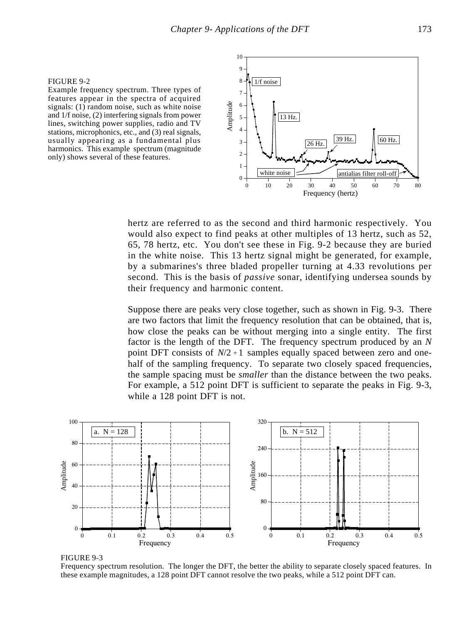

Example frequency spectrum. Three types of features appear in the spectra of acquired signals: (1) random noise, such as white noise and 1/f noise, (2) interfering signals from power lines, switching power supplies, radio and TV stations, microphonics, etc., and (3) real signals, usually appearing as a fundamental plus harmonics. This example spectrum (magnitude only) shows several of these features.



hertz are referred to as the second and third harmonic respectively. You would also expect to find peaks at other multiples of 13 hertz, such as 52, 65, 78 hertz, etc. You don't see these in Fig. 9-2 because they are buried in the white noise. This 13 hertz signal might be generated, for example, by a submarines's three bladed propeller turning at 4.33 revolutions per second. This is the basis of *passive* sonar, identifying undersea sounds by their frequency and harmonic content.

Suppose there are peaks very close together, such as shown in Fig. 9-3. There are two factors that limit the frequency resolution that can be obtained, that is, how close the peaks can be without merging into a single entity. The first factor is the length of the DFT. The frequency spectrum produced by an *N* point DFT consists of  $N/2 + 1$  samples equally spaced between zero and onehalf of the sampling frequency. To separate two closely spaced frequencies, the sample spacing must be *smaller* than the distance between the two peaks. For example, a 512 point DFT is sufficient to separate the peaks in Fig. 9-3, while a 128 point DFT is not.



FIGURE 9-3 Frequency spectrum resolution. The longer the DFT, the better the ability to separate closely spaced features. In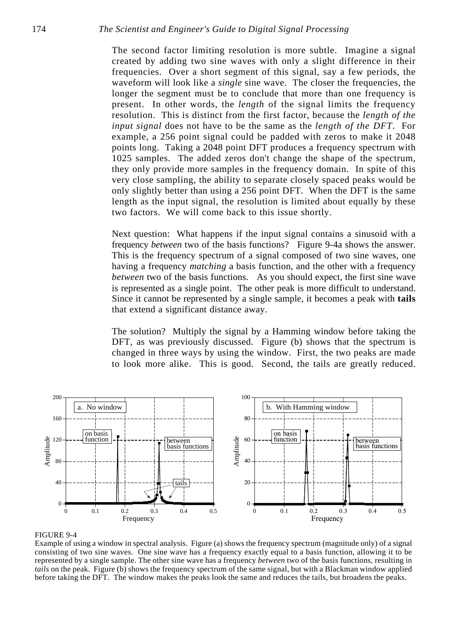The second factor limiting resolution is more subtle. Imagine a signal created by adding two sine waves with only a slight difference in their frequencies. Over a short segment of this signal, say a few periods, the waveform will look like a *single* sine wave. The closer the frequencies, the longer the segment must be to conclude that more than one frequency is present. In other words, the *length* of the signal limits the frequency resolution. This is distinct from the first factor, because the *length of the input signal* does not have to be the same as the *length of the DFT*. For example, a 256 point signal could be padded with zeros to make it 2048 points long. Taking a 2048 point DFT produces a frequency spectrum with 1025 samples. The added zeros don't change the shape of the spectrum, they only provide more samples in the frequency domain. In spite of this very close sampling, the ability to separate closely spaced peaks would be only slightly better than using a 256 point DFT. When the DFT is the same length as the input signal, the resolution is limited about equally by these two factors. We will come back to this issue shortly.

Next question: What happens if the input signal contains a sinusoid with a frequency *between* two of the basis functions? Figure 9-4a shows the answer. This is the frequency spectrum of a signal composed of two sine waves, one having a frequency *matching* a basis function, and the other with a frequency *between* two of the basis functions. As you should expect, the first sine wave is represented as a single point. The other peak is more difficult to understand. Since it cannot be represented by a single sample, it becomes a peak with **tails** that extend a significant distance away.

The solution? Multiply the signal by a Hamming window before taking the DFT, as was previously discussed. Figure (b) shows that the spectrum is changed in three ways by using the window. First, the two peaks are made to look more alike. This is good. Second, the tails are greatly reduced.



### FIGURE 9-4

Example of using a window in spectral analysis. Figure (a) shows the frequency spectrum (magnitude only) of a signal consisting of two sine waves. One sine wave has a frequency exactly equal to a basis function, allowing it to be represented by a single sample. The other sine wave has a frequency *between* two of the basis functions, resulting in *tails* on the peak. Figure (b) shows the frequency spectrum of the same signal, but with a Blackman window applied before taking the DFT. The window makes the peaks look the same and reduces the tails, but broadens the peaks.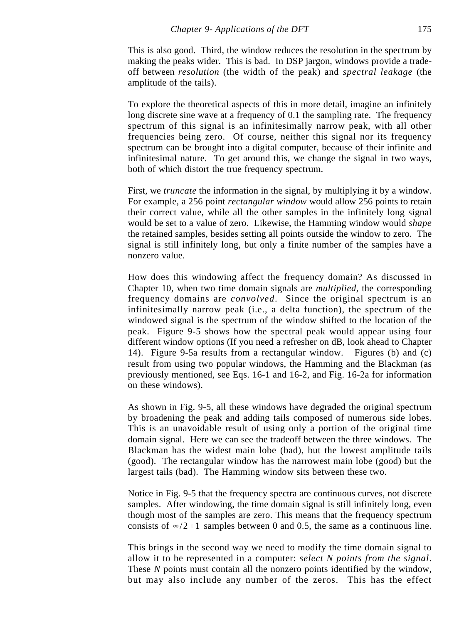This is also good. Third, the window reduces the resolution in the spectrum by making the peaks wider. This is bad. In DSP jargon, windows provide a tradeoff between *resolution* (the width of the peak) and *spectral leakage* (the amplitude of the tails).

To explore the theoretical aspects of this in more detail, imagine an infinitely long discrete sine wave at a frequency of 0.1 the sampling rate. The frequency spectrum of this signal is an infinitesimally narrow peak, with all other frequencies being zero. Of course, neither this signal nor its frequency spectrum can be brought into a digital computer, because of their infinite and infinitesimal nature. To get around this, we change the signal in two ways, both of which distort the true frequency spectrum.

First, we *truncate* the information in the signal, by multiplying it by a window. For example, a 256 point *rectangular window* would allow 256 points to retain their correct value, while all the other samples in the infinitely long signal would be set to a value of zero. Likewise, the Hamming window would *shape* the retained samples, besides setting all points outside the window to zero. The signal is still infinitely long, but only a finite number of the samples have a nonzero value.

How does this windowing affect the frequency domain? As discussed in Chapter 10, when two time domain signals are *multiplied*, the corresponding frequency domains are *convolved*. Since the original spectrum is an infinitesimally narrow peak (i.e., a delta function), the spectrum of the windowed signal is the spectrum of the window shifted to the location of the peak. Figure 9-5 shows how the spectral peak would appear using four different window options (If you need a refresher on dB, look ahead to Chapter 14). Figure 9-5a results from a rectangular window. Figures (b) and (c) result from using two popular windows, the Hamming and the Blackman (as previously mentioned, see Eqs. 16-1 and 16-2, and Fig. 16-2a for information on these windows).

As shown in Fig. 9-5, all these windows have degraded the original spectrum by broadening the peak and adding tails composed of numerous side lobes. This is an unavoidable result of using only a portion of the original time domain signal. Here we can see the tradeoff between the three windows. The Blackman has the widest main lobe (bad), but the lowest amplitude tails (good). The rectangular window has the narrowest main lobe (good) but the largest tails (bad). The Hamming window sits between these two.

Notice in Fig. 9-5 that the frequency spectra are continuous curves, not discrete samples. After windowing, the time domain signal is still infinitely long, even though most of the samples are zero. This means that the frequency spectrum consists of  $\infty/2 + 1$  samples between 0 and 0.5, the same as a continuous line.

This brings in the second way we need to modify the time domain signal to allow it to be represented in a computer: *select N points from the signal*. These *N* points must contain all the nonzero points identified by the window, but may also include any number of the zeros. This has the effect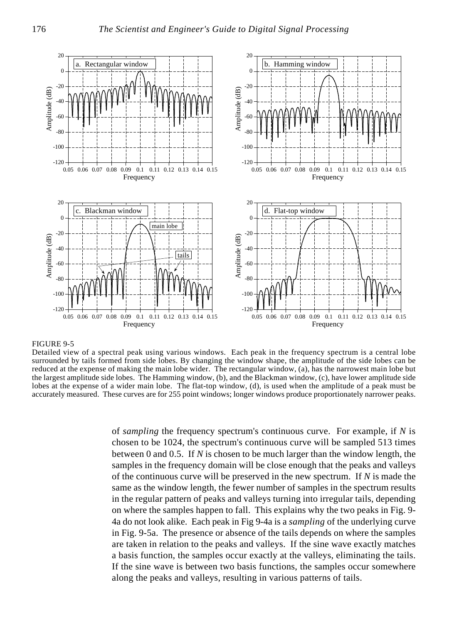

### FIGURE 9-5

Detailed view of a spectral peak using various windows. Each peak in the frequency spectrum is a central lobe surrounded by tails formed from side lobes. By changing the window shape, the amplitude of the side lobes can be reduced at the expense of making the main lobe wider. The rectangular window, (a), has the narrowest main lobe but the largest amplitude side lobes. The Hamming window, (b), and the Blackman window, (c), have lower amplitude side lobes at the expense of a wider main lobe. The flat-top window, (d), is used when the amplitude of a peak must be accurately measured. These curves are for 255 point windows; longer windows produce proportionately narrower peaks.

of *sampling* the frequency spectrum's continuous curve. For example, if *N* is chosen to be 1024, the spectrum's continuous curve will be sampled 513 times between 0 and 0.5. If *N* is chosen to be much larger than the window length, the samples in the frequency domain will be close enough that the peaks and valleys of the continuous curve will be preserved in the new spectrum. If *N* is made the same as the window length, the fewer number of samples in the spectrum results in the regular pattern of peaks and valleys turning into irregular tails, depending on where the samples happen to fall. This explains why the two peaks in Fig. 9- 4a do not look alike. Each peak in Fig 9-4a is a *sampling* of the underlying curve in Fig. 9-5a. The presence or absence of the tails depends on where the samples are taken in relation to the peaks and valleys. If the sine wave exactly matches a basis function, the samples occur exactly at the valleys, eliminating the tails. If the sine wave is between two basis functions, the samples occur somewhere along the peaks and valleys, resulting in various patterns of tails.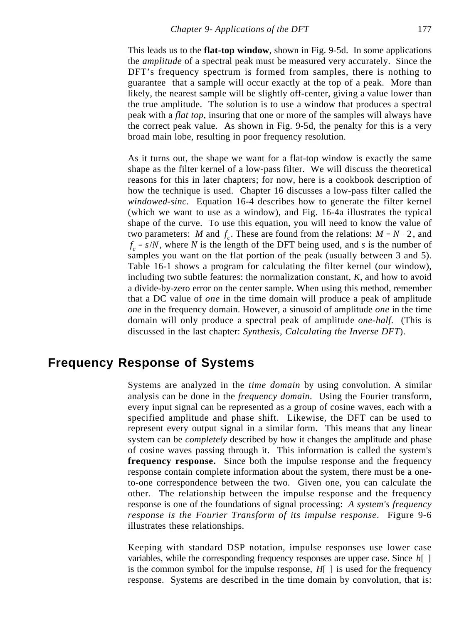This leads us to the **flat-top window**, shown in Fig. 9-5d. In some applications the *amplitude* of a spectral peak must be measured very accurately. Since the DFT's frequency spectrum is formed from samples, there is nothing to guarantee that a sample will occur exactly at the top of a peak. More than likely, the nearest sample will be slightly off-center, giving a value lower than the true amplitude. The solution is to use a window that produces a spectral peak with a *flat top*, insuring that one or more of the samples will always have the correct peak value. As shown in Fig. 9-5d, the penalty for this is a very broad main lobe, resulting in poor frequency resolution.

As it turns out, the shape we want for a flat-top window is exactly the same shape as the filter kernel of a low-pass filter. We will discuss the theoretical reasons for this in later chapters; for now, here is a cookbook description of how the technique is used. Chapter 16 discusses a low-pass filter called the *windowed-sinc.* Equation 16-4 describes how to generate the filter kernel (which we want to use as a window), and Fig. 16-4a illustrates the typical shape of the curve. To use this equation, you will need to know the value of two parameters: *M* and  $f_c$ . These are found from the relations:  $M = N - 2$ , and  $f_c = s/N$ , where *N* is the length of the DFT being used, and *s* is the number of samples you want on the flat portion of the peak (usually between 3 and 5). Table 16-1 shows a program for calculating the filter kernel (our window), including two subtle features: the normalization constant, *K*, and how to avoid a divide-by-zero error on the center sample. When using this method, remember that a DC value of *one* in the time domain will produce a peak of amplitude *one* in the frequency domain. However, a sinusoid of amplitude *one* in the time domain will only produce a spectral peak of amplitude *one-half.* (This is discussed in the last chapter: *Synthesis, Calculating the Inverse DFT*).

### **Frequency Response of Systems**

Systems are analyzed in the *time domain* by using convolution. A similar analysis can be done in the *frequency domain.* Using the Fourier transform, every input signal can be represented as a group of cosine waves, each with a specified amplitude and phase shift. Likewise, the DFT can be used to represent every output signal in a similar form. This means that any linear system can be *completely* described by how it changes the amplitude and phase of cosine waves passing through it. This information is called the system's **frequency response.** Since both the impulse response and the frequency response contain complete information about the system, there must be a oneto-one correspondence between the two. Given one, you can calculate the other. The relationship between the impulse response and the frequency response is one of the foundations of signal processing: *A system's frequency response is the Fourier Transform of its impulse response*. Figure 9-6 illustrates these relationships.

Keeping with standard DSP notation, impulse responses use lower case variables, while the corresponding frequency responses are upper case. Since *h*[ ] is the common symbol for the impulse response, *H*[ ] is used for the frequency response. Systems are described in the time domain by convolution, that is: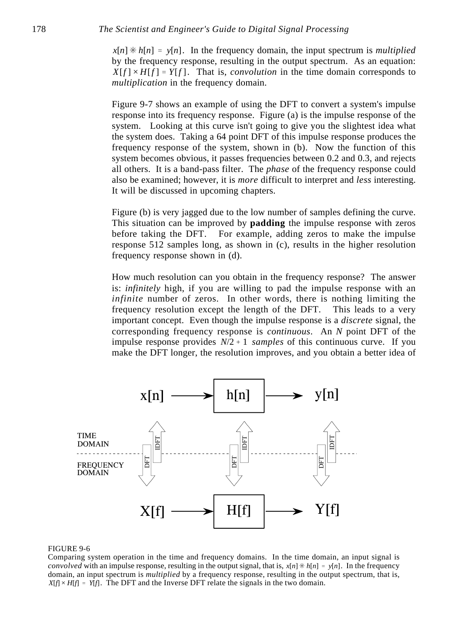$x[n] \times h[n] = y[n]$ . In the frequency domain, the input spectrum is *multiplied* by the frequency response, resulting in the output spectrum. As an equation:  $X[f] \times H[f] = Y[f]$ . That is, *convolution* in the time domain corresponds to *multiplication* in the frequency domain.

Figure 9-7 shows an example of using the DFT to convert a system's impulse response into its frequency response. Figure (a) is the impulse response of the system. Looking at this curve isn't going to give you the slightest idea what the system does. Taking a 64 point DFT of this impulse response produces the frequency response of the system, shown in (b). Now the function of this system becomes obvious, it passes frequencies between 0.2 and 0.3, and rejects all others. It is a band-pass filter. The *phase* of the frequency response could also be examined; however, it is *more* difficult to interpret and *less* interesting. It will be discussed in upcoming chapters.

Figure (b) is very jagged due to the low number of samples defining the curve. This situation can be improved by **padding** the impulse response with zeros before taking the DFT. For example, adding zeros to make the impulse response 512 samples long, as shown in (c), results in the higher resolution frequency response shown in (d).

How much resolution can you obtain in the frequency response? The answer is: *infinitely* high, if you are willing to pad the impulse response with an *infinite* number of zeros. In other words, there is nothing limiting the frequency resolution except the length of the DFT. This leads to a very important concept. Even though the impulse response is a *discrete* signal, the corresponding frequency response is *continuous*. An *N* point DFT of the impulse response provides  $N/2 + 1$  *samples* of this continuous curve. If you make the DFT longer, the resolution improves, and you obtain a better idea of



### FIGURE 9-6

Comparing system operation in the time and frequency domains. In the time domain, an input signal is *convolved* with an impulse response, resulting in the output signal, that is,  $x[n] * h[n] = y[n]$ . In the frequency domain, an input spectrum is *multiplied* by a frequency response, resulting in the output spectrum, that is,  $X[f] \times H[f] = Y[f]$ . The DFT and the Inverse DFT relate the signals in the two domain.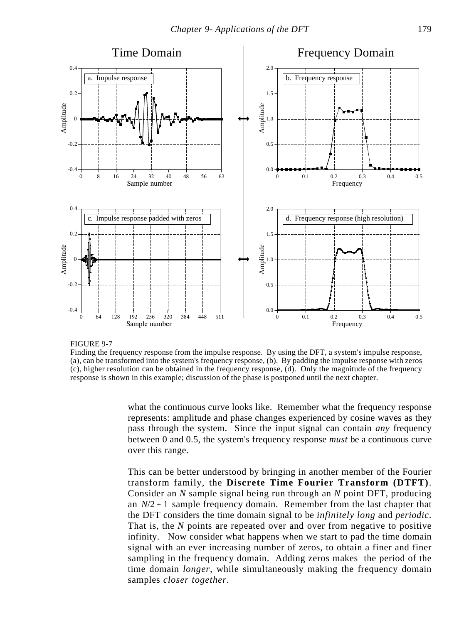

#### FIGURE 9-7

Finding the frequency response from the impulse response. By using the DFT, a system's impulse response, (a), can be transformed into the system's frequency response, (b). By padding the impulse response with zeros (c), higher resolution can be obtained in the frequency response, (d). Only the magnitude of the frequency response is shown in this example; discussion of the phase is postponed until the next chapter.

what the continuous curve looks like. Remember what the frequency response represents: amplitude and phase changes experienced by cosine waves as they pass through the system. Since the input signal can contain *any* frequency between 0 and 0.5, the system's frequency response *must* be a continuous curve over this range.

This can be better understood by bringing in another member of the Fourier transform family, the **Discrete Time Fourier Transform (DTFT)**. Consider an *N* sample signal being run through an *N* point DFT, producing an  $N/2$  + 1 sample frequency domain. Remember from the last chapter that the DFT considers the time domain signal to be *infinitely long* and *periodic*. That is, the *N* points are repeated over and over from negative to positive infinity. Now consider what happens when we start to pad the time domain signal with an ever increasing number of zeros, to obtain a finer and finer sampling in the frequency domain. Adding zeros makes the period of the time domain *longer*, while simultaneously making the frequency domain samples *closer together*.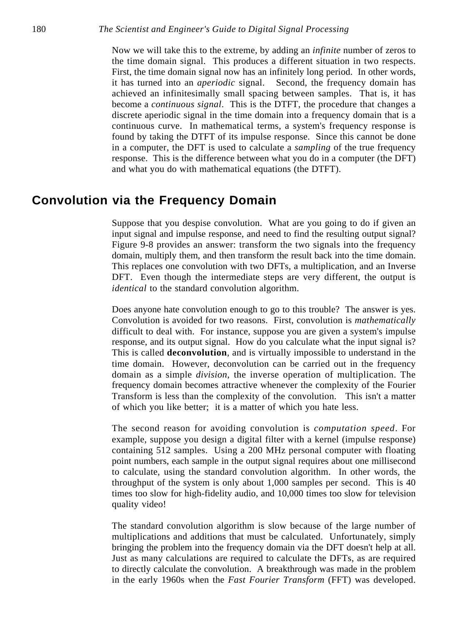Now we will take this to the extreme, by adding an *infinite* number of zeros to the time domain signal. This produces a different situation in two respects. First, the time domain signal now has an infinitely long period. In other words, it has turned into an *aperiodic* signal. Second, the frequency domain has achieved an infinitesimally small spacing between samples. That is, it has become a *continuous signal*. This is the DTFT, the procedure that changes a discrete aperiodic signal in the time domain into a frequency domain that is a continuous curve. In mathematical terms, a system's frequency response is found by taking the DTFT of its impulse response. Since this cannot be done in a computer, the DFT is used to calculate a *sampling* of the true frequency response. This is the difference between what you do in a computer (the DFT) and what you do with mathematical equations (the DTFT).

### **Convolution via the Frequency Domain**

Suppose that you despise convolution. What are you going to do if given an input signal and impulse response, and need to find the resulting output signal? Figure 9-8 provides an answer: transform the two signals into the frequency domain, multiply them, and then transform the result back into the time domain. This replaces one convolution with two DFTs, a multiplication, and an Inverse DFT. Even though the intermediate steps are very different, the output is *identical* to the standard convolution algorithm.

Does anyone hate convolution enough to go to this trouble? The answer is yes. Convolution is avoided for two reasons. First, convolution is *mathematically* difficult to deal with. For instance, suppose you are given a system's impulse response, and its output signal. How do you calculate what the input signal is? This is called **deconvolution**, and is virtually impossible to understand in the time domain. However, deconvolution can be carried out in the frequency domain as a simple *division*, the inverse operation of multiplication. The frequency domain becomes attractive whenever the complexity of the Fourier Transform is less than the complexity of the convolution. This isn't a matter of which you like better; it is a matter of which you hate less.

The second reason for avoiding convolution is *computation speed*. For example, suppose you design a digital filter with a kernel (impulse response) containing 512 samples. Using a 200 MHz personal computer with floating point numbers, each sample in the output signal requires about one millisecond to calculate, using the standard convolution algorithm. In other words, the throughput of the system is only about 1,000 samples per second. This is 40 times too slow for high-fidelity audio, and 10,000 times too slow for television quality video!

The standard convolution algorithm is slow because of the large number of multiplications and additions that must be calculated. Unfortunately, simply bringing the problem into the frequency domain via the DFT doesn't help at all. Just as many calculations are required to calculate the DFTs, as are required to directly calculate the convolution. A breakthrough was made in the problem in the early 1960s when the *Fast Fourier Transform* (FFT) was developed.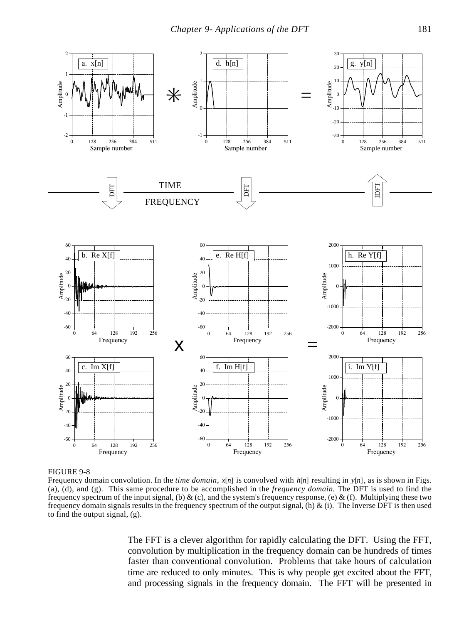

FIGURE 9-8

Frequency domain convolution. In the *time domain*, *x*[*n*] is convolved with *h*[*n*] resulting in *y*[*n*], as is shown in Figs. (a), (d), and (g). This same procedure to be accomplished in the *frequency domain.* The DFT is used to find the frequency spectrum of the input signal, (b) & (c), and the system's frequency response, (e) & (f). Multiplying these two frequency domain signals results in the frequency spectrum of the output signal, (h)  $\&$  (i). The Inverse DFT is then used to find the output signal, (g).

The FFT is a clever algorithm for rapidly calculating the DFT. Using the FFT, convolution by multiplication in the frequency domain can be hundreds of times faster than conventional convolution. Problems that take hours of calculation time are reduced to only minutes. This is why people get excited about the FFT, and processing signals in the frequency domain. The FFT will be presented in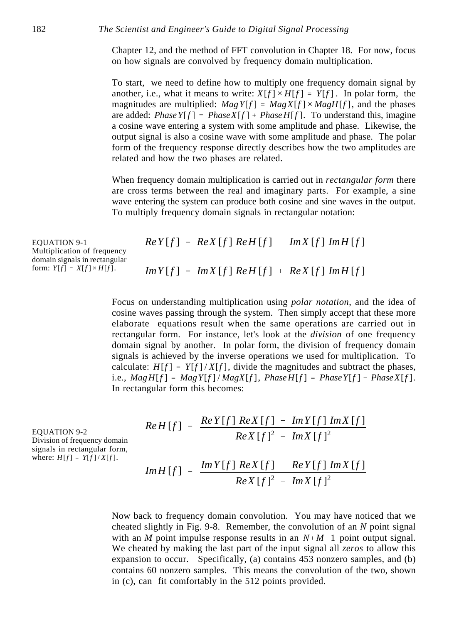Chapter 12, and the method of FFT convolution in Chapter 18. For now, focus on how signals are convolved by frequency domain multiplication.

To start, we need to define how to multiply one frequency domain signal by another, i.e., what it means to write:  $X[f] \times H[f] = Y[f]$ . In polar form, the magnitudes are multiplied: *MagY*[ $f$ ] = *MagX*[ $f$ ] × *MagH*[ $f$ ], and the phases are added: *PhaseY*[ $f$ ] = *PhaseX*[ $f$ ] + *PhaseH*[ $f$ ]. To understand this, imagine a cosine wave entering a system with some amplitude and phase. Likewise, the output signal is also a cosine wave with some amplitude and phase. The polar form of the frequency response directly describes how the two amplitudes are related and how the two phases are related.

When frequency domain multiplication is carried out in *rectangular form* there are cross terms between the real and imaginary parts. For example, a sine wave entering the system can produce both cosine and sine waves in the output. To multiply frequency domain signals in rectangular notation:

EQUATION 9-1 Multiplication of frequency domain signals in rectangular form:  $Y[f] = X[f] \times H[f]$ .

 $ReY[f] = ReX[f]$  *ReH*  $[f] - ImX[f]$  *ImH*  $[f]$  $Im Y[f] = Im X[f] Re H[f] + Re X[f] Im H[f]$ 

Focus on understanding multiplication using *polar notation*, and the idea of cosine waves passing through the system. Then simply accept that these more elaborate equations result when the same operations are carried out in rectangular form. For instance, let's look at the *division* of one frequency domain signal by another. In polar form, the division of frequency domain signals is achieved by the inverse operations we used for multiplication. To calculate:  $H[f] = Y[f]/X[f]$ , divide the magnitudes and subtract the phases, i.e.,  $\text{MagH}[f] = \text{MagY}[f]/\text{MagX}[f]$ ,  $\text{PhaseH}[f] = \text{PhaseY}[f] - \text{PhaseX}[f]$ . In rectangular form this becomes:

EQUATION 9-2 Division of frequency domain signals in rectangular form, where:  $H[f] = Y[f]/X[f]$ .

$$
Re H[f] = \frac{Re Y[f] Re X[f] + Im Y[f] Im X[f]}{Re X[f]^2 + Im X[f]^2}
$$
  

$$
Im H[f] = Im Y[f] Re X[f] - Re Y[f] Im X[f]
$$

$$
Im H[f] = \frac{Im Y[f] Re X[f] - Re Y[f] Im X[f]}{Re X[f]^2 + Im X[f]^2}
$$

Now back to frequency domain convolution. You may have noticed that we cheated slightly in Fig. 9-8. Remember, the convolution of an *N* point signal with an *M* point impulse response results in an  $N+M-1$  point output signal. We cheated by making the last part of the input signal all *zeros* to allow this expansion to occur. Specifically, (a) contains 453 nonzero samples, and (b) contains 60 nonzero samples. This means the convolution of the two, shown in (c), can fit comfortably in the 512 points provided.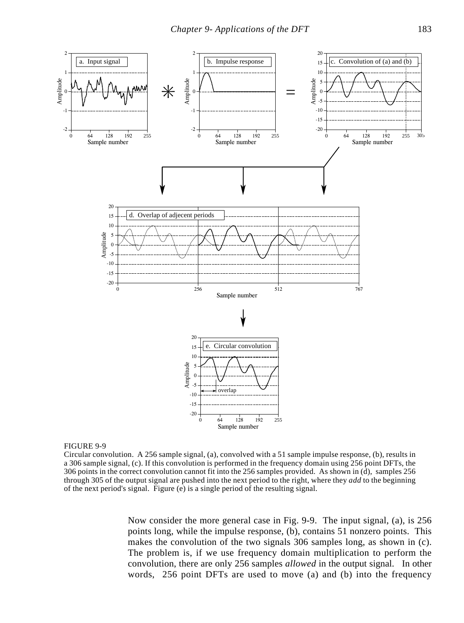

### FIGURE 9-9

Circular convolution. A 256 sample signal, (a), convolved with a 51 sample impulse response, (b), results in a 306 sample signal, (c). If this convolution is performed in the frequency domain using 256 point DFTs, the 306 points in the correct convolution cannot fit into the 256 samples provided. As shown in (d), samples 256 through 305 of the output signal are pushed into the next period to the right, where they *add* to the beginning of the next period's signal. Figure (e) is a single period of the resulting signal.

Now consider the more general case in Fig. 9-9. The input signal, (a), is 256 points long, while the impulse response, (b), contains 51 nonzero points. This makes the convolution of the two signals 306 samples long, as shown in (c). The problem is, if we use frequency domain multiplication to perform the convolution, there are only 256 samples *allowed* in the output signal. In other words, 256 point DFTs are used to move (a) and (b) into the frequency